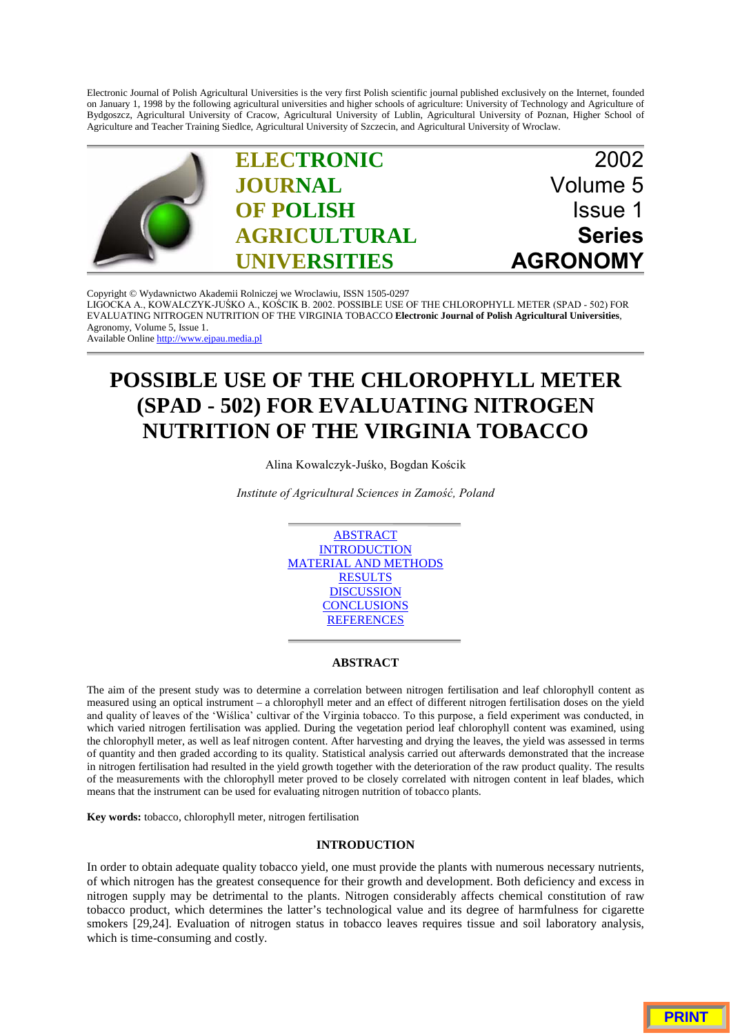Electronic Journal of Polish Agricultural Universities is the very first Polish scientific journal published exclusively on the Internet, founded on January 1, 1998 by the following agricultural universities and higher schools of agriculture: University of Technology and Agriculture of Bydgoszcz, Agricultural University of Cracow, Agricultural University of Lublin, Agricultural University of Poznan, Higher School of Agriculture and Teacher Training Siedlce, Agricultural University of Szczecin, and Agricultural University of Wroclaw.



Copyright © Wydawnictwo Akademii Rolniczej we Wroclawiu, ISSN 1505-0297 LIGOCKA A., KOWALCZYK-JUŚKO A., KOŚCIK B. 2002. POSSIBLE USE OF THE CHLOROPHYLL METER (SPAD - 502) FOR EVALUATING NITROGEN NUTRITION OF THE VIRGINIA TOBACCO **Electronic Journal of Polish Agricultural Universities**, Agronomy, Volume 5, Issue 1. Available Online http://www.ejpau.media.pl

# **POSSIBLE USE OF THE CHLOROPHYLL METER (SPAD - 502) FOR EVALUATING NITROGEN NUTRITION OF THE VIRGINIA TOBACCO**

Alina Kowalczyk-Juśko, Bogdan Kościk

Institute of Agricultural Sciences in Zamość, Poland



# **ABSTRACT**

The aim of the present study was to determine a correlation between nitrogen fertilisation and leaf chlorophyll content as measured using an optical instrument – a chlorophyll meter and an effect of different nitrogen fertilisation doses on the yield and quality of leaves of the 'Wiślica' cultivar of the Virginia tobacco. To this purpose, a field experiment was conducted, in which varied nitrogen fertilisation was applied. During the vegetation period leaf chlorophyll content was examined, using the chlorophyll meter, as well as leaf nitrogen content. After harvesting and drying the leaves, the yield was assessed in terms of quantity and then graded according to its quality. Statistical analysis carried out afterwards demonstrated that the increase in nitrogen fertilisation had resulted in the yield growth together with the deterioration of the raw product quality. The results of the measurements with the chlorophyll meter proved to be closely correlated with nitrogen content in leaf blades, which means that the instrument can be used for evaluating nitrogen nutrition of tobacco plants.

**Key words:** tobacco, chlorophyll meter, nitrogen fertilisation

## **INTRODUCTION**

In order to obtain adequate quality tobacco yield, one must provide the plants with numerous necessary nutrients, of which nitrogen has the greatest consequence for their growth and development. Both deficiency and excess in nitrogen supply may be detrimental to the plants. Nitrogen considerably affects chemical constitution of raw tobacco product, which determines the latter's technological value and its degree of harmfulness for cigarette smokers [29,24]. Evaluation of nitrogen status in tobacco leaves requires tissue and soil laboratory analysis, which is time-consuming and costly.

**PRINT**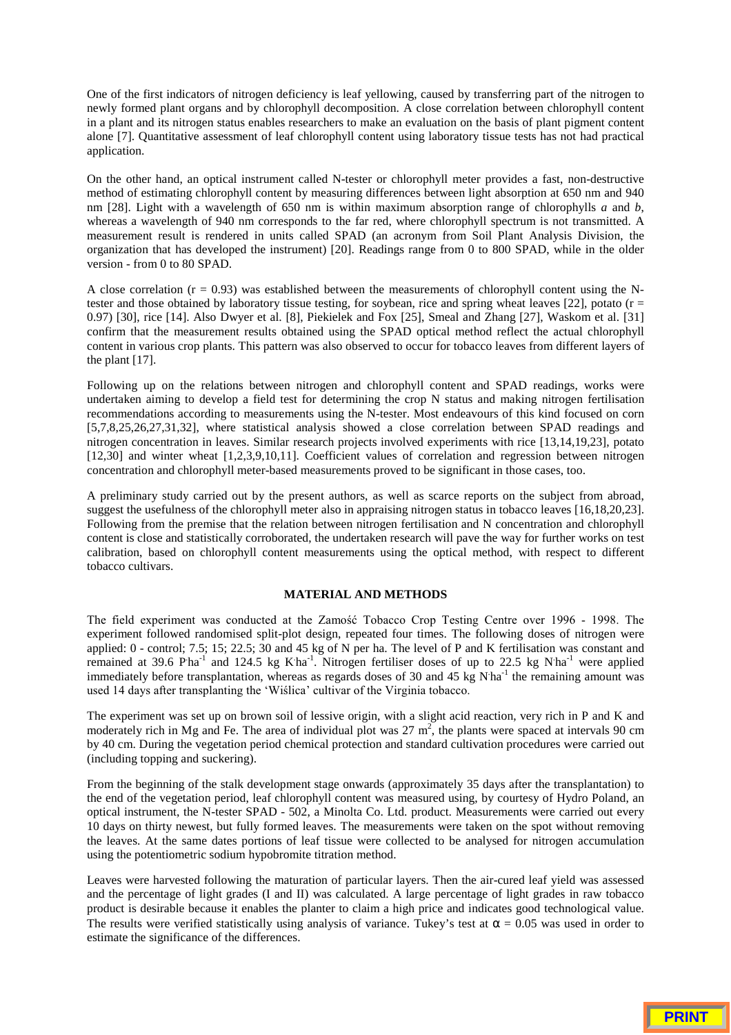One of the first indicators of nitrogen deficiency is leaf yellowing, caused by transferring part of the nitrogen to newly formed plant organs and by chlorophyll decomposition. A close correlation between chlorophyll content in a plant and its nitrogen status enables researchers to make an evaluation on the basis of plant pigment content alone [7]. Quantitative assessment of leaf chlorophyll content using laboratory tissue tests has not had practical application.

On the other hand, an optical instrument called N-tester or chlorophyll meter provides a fast, non-destructive method of estimating chlorophyll content by measuring differences between light absorption at 650 nm and 940 nm [28]. Light with a wavelength of 650 nm is within maximum absorption range of chlorophylls *a* and *b*, whereas a wavelength of 940 nm corresponds to the far red, where chlorophyll spectrum is not transmitted. A measurement result is rendered in units called SPAD (an acronym from Soil Plant Analysis Division, the organization that has developed the instrument) [20]. Readings range from 0 to 800 SPAD, while in the older version - from 0 to 80 SPAD.

A close correlation ( $r = 0.93$ ) was established between the measurements of chlorophyll content using the Ntester and those obtained by laboratory tissue testing, for soybean, rice and spring wheat leaves [22], potato ( $r =$ 0.97) [30], rice [14]. Also Dwyer et al. [8], Piekielek and Fox [25], Smeal and Zhang [27], Waskom et al. [31] confirm that the measurement results obtained using the SPAD optical method reflect the actual chlorophyll content in various crop plants. This pattern was also observed to occur for tobacco leaves from different layers of the plant [17].

Following up on the relations between nitrogen and chlorophyll content and SPAD readings, works were undertaken aiming to develop a field test for determining the crop N status and making nitrogen fertilisation recommendations according to measurements using the N-tester. Most endeavours of this kind focused on corn [5,7,8,25,26,27,31,32], where statistical analysis showed a close correlation between SPAD readings and nitrogen concentration in leaves. Similar research projects involved experiments with rice [13,14,19,23], potato [12,30] and winter wheat [1,2,3,9,10,11]. Coefficient values of correlation and regression between nitrogen concentration and chlorophyll meter-based measurements proved to be significant in those cases, too.

A preliminary study carried out by the present authors, as well as scarce reports on the subject from abroad, suggest the usefulness of the chlorophyll meter also in appraising nitrogen status in tobacco leaves [16,18,20,23]. Following from the premise that the relation between nitrogen fertilisation and N concentration and chlorophyll content is close and statistically corroborated, the undertaken research will pave the way for further works on test calibration, based on chlorophyll content measurements using the optical method, with respect to different tobacco cultivars.

### **MATERIAL AND METHODS**

The field experiment was conducted at the Zamość Tobacco Crop Testing Centre over 1996 - 1998. The experiment followed randomised split-plot design, repeated four times. The following doses of nitrogen were applied: 0 - control; 7.5; 15; 22.5; 30 and 45 kg of N per ha. The level of P and K fertilisation was constant and remained at 39.6 Pha<sup>-1</sup> and 124.5 kg K<sup>ha-1</sup>. Nitrogen fertiliser doses of up to 22.5 kg N<sup>ha-1</sup> were applied immediately before transplantation, whereas as regards doses of 30 and 45 kg N ha<sup>-1</sup> the remaining amount was used 14 days after transplanting the 'Wiślica' cultivar of the Virginia tobacco.

The experiment was set up on brown soil of lessive origin, with a slight acid reaction, very rich in P and K and moderately rich in Mg and Fe. The area of individual plot was  $27 \text{ m}^2$ , the plants were spaced at intervals 90 cm by 40 cm. During the vegetation period chemical protection and standard cultivation procedures were carried out (including topping and suckering).

From the beginning of the stalk development stage onwards (approximately 35 days after the transplantation) to the end of the vegetation period, leaf chlorophyll content was measured using, by courtesy of Hydro Poland, an optical instrument, the N-tester SPAD - 502, a Minolta Co. Ltd. product. Measurements were carried out every 10 days on thirty newest, but fully formed leaves. The measurements were taken on the spot without removing the leaves. At the same dates portions of leaf tissue were collected to be analysed for nitrogen accumulation using the potentiometric sodium hypobromite titration method.

Leaves were harvested following the maturation of particular layers. Then the air-cured leaf yield was assessed and the percentage of light grades (I and II) was calculated. A large percentage of light grades in raw tobacco product is desirable because it enables the planter to claim a high price and indicates good technological value. The results were verified statistically using analysis of variance. Tukey's test at  $\alpha = 0.05$  was used in order to estimate the significance of the differences.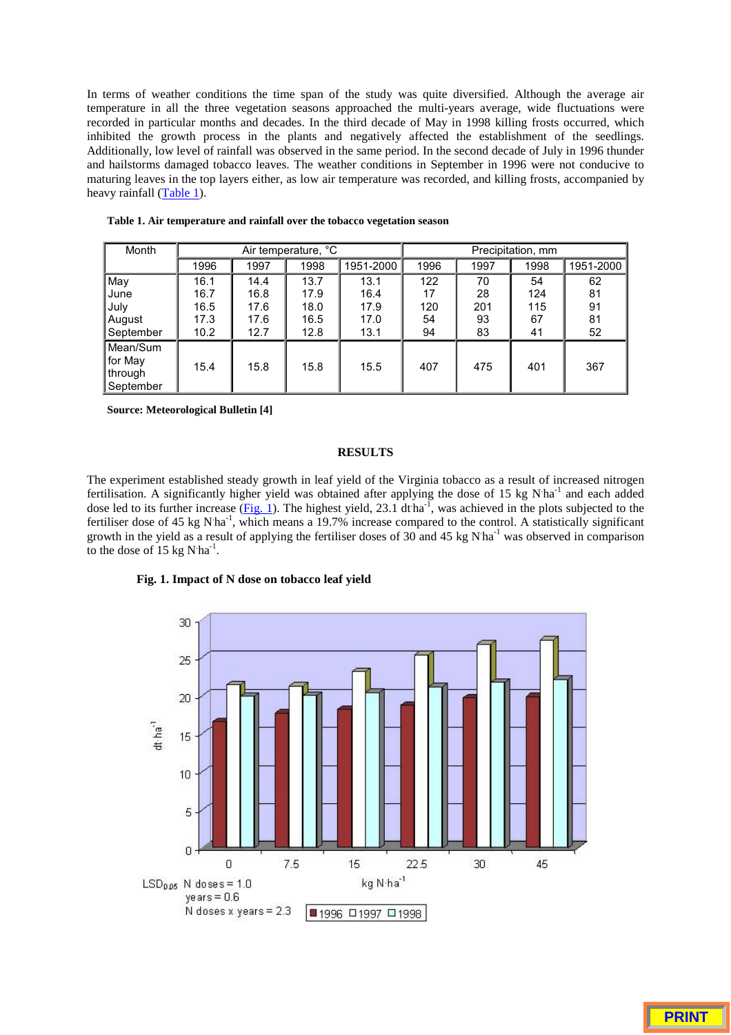In terms of weather conditions the time span of the study was quite diversified. Although the average air temperature in all the three vegetation seasons approached the multi-years average, wide fluctuations were recorded in particular months and decades. In the third decade of May in 1998 killing frosts occurred, which inhibited the growth process in the plants and negatively affected the establishment of the seedlings. Additionally, low level of rainfall was observed in the same period. In the second decade of July in 1996 thunder and hailstorms damaged tobacco leaves. The weather conditions in September in 1996 were not conducive to maturing leaves in the top layers either, as low air temperature was recorded, and killing frosts, accompanied by heavy rainfall  $(Table 1)$ .

| Month                                       |      |      | Air temperature, °C |           | Precipitation, mm |      |      |           |  |
|---------------------------------------------|------|------|---------------------|-----------|-------------------|------|------|-----------|--|
|                                             | 1996 | 1997 | 1998                | 1951-2000 | 1996              | 1997 | 1998 | 1951-2000 |  |
| May                                         | 16.1 | 14.4 | 13.7                | 13.1      | 122               | 70   | 54   | 62        |  |
| June                                        | 16.7 | 16.8 | 17.9                | 16.4      | 17                | 28   | 124  | 81        |  |
| July                                        | 16.5 | 17.6 | 18.0                | 17.9      | 120               | 201  | 115  | 91        |  |
| August                                      | 17.3 | 17.6 | 16.5                | 17.0      | 54                | 93   | 67   | 81        |  |
| September                                   | 10.2 | 12.7 | 12.8                | 13.1      | 94                | 83   | 41   | 52        |  |
| Mean/Sum<br>for May<br>through<br>September | 15.4 | 15.8 | 15.8                | 15.5      | 407               | 475  | 401  | 367       |  |

**Table 1. Air temperature and rainfall over the tobacco vegetation season**

**Source: Meteorological Bulletin [4]**

# **RESULTS**

The experiment established steady growth in leaf yield of the Virginia tobacco as a result of increased nitrogen fertilisation. A significantly higher yield was obtained after applying the dose of 15 kg N<sup>ha-1</sup> and each added dose led to its further increase  $(Fig. 1)$ . The highest yield, 23.1 dtha<sup>-1</sup>, was achieved in the plots subjected to the fertiliser dose of 45 kg N<sup>ha-1</sup>, which means a 19.7% increase compared to the control. A statistically significant growth in the yield as a result of applying the fertiliser doses of 30 and 45 kg N ha<sup>-1</sup> was observed in comparison to the dose of  $15 \text{ kg N·ha}^{-1}$ .



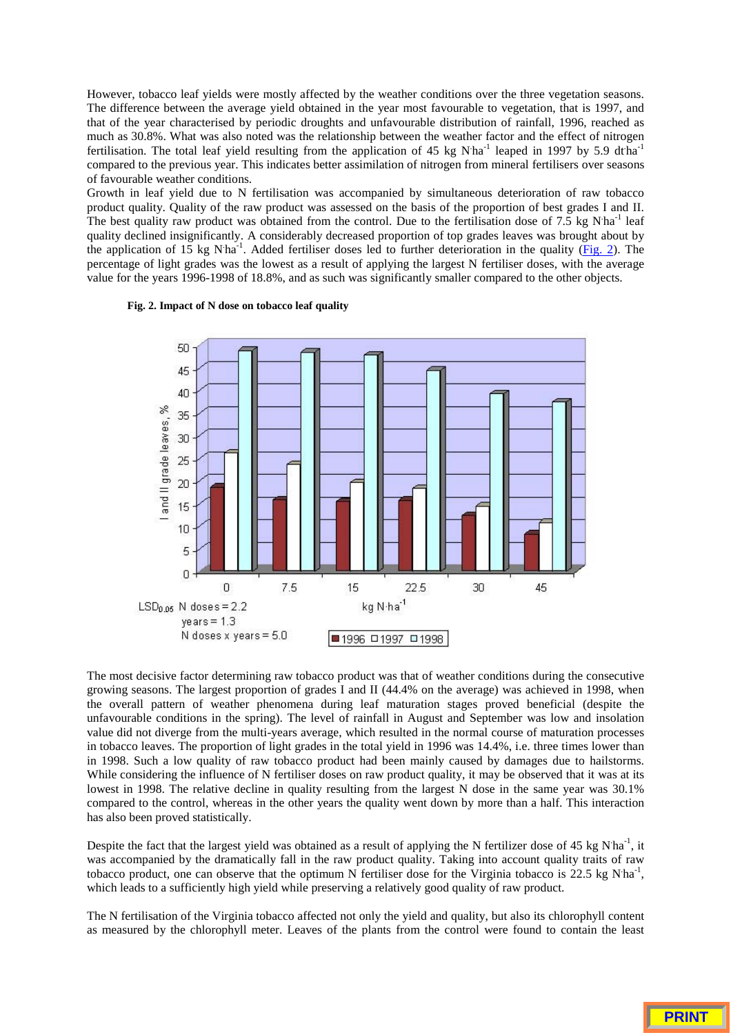However, tobacco leaf yields were mostly affected by the weather conditions over the three vegetation seasons. The difference between the average yield obtained in the year most favourable to vegetation, that is 1997, and that of the year characterised by periodic droughts and unfavourable distribution of rainfall, 1996, reached as much as 30.8%. What was also noted was the relationship between the weather factor and the effect of nitrogen fertilisation. The total leaf yield resulting from the application of 45 kg N<sup>ha-1</sup> leaped in 1997 by 5.9 dtha<sup>-1</sup> compared to the previous year. This indicates better assimilation of nitrogen from mineral fertilisers over seasons of favourable weather conditions.

Growth in leaf yield due to N fertilisation was accompanied by simultaneous deterioration of raw tobacco product quality. Quality of the raw product was assessed on the basis of the proportion of best grades I and II. The best quality raw product was obtained from the control. Due to the fertilisation dose of 7.5 kg N ha<sup>-1</sup> leaf quality declined insignificantly. A considerably decreased proportion of top grades leaves was brought about by the application of 15 kg N<sup>ha-1</sup>. Added fertiliser doses led to further deterioration in the quality (Fig. 2). The percentage of light grades was the lowest as a result of applying the largest N fertiliser doses, with the average value for the years 1996-1998 of 18.8%, and as such was significantly smaller compared to the other objects.





The most decisive factor determining raw tobacco product was that of weather conditions during the consecutive growing seasons. The largest proportion of grades I and II (44.4% on the average) was achieved in 1998, when the overall pattern of weather phenomena during leaf maturation stages proved beneficial (despite the unfavourable conditions in the spring). The level of rainfall in August and September was low and insolation value did not diverge from the multi-years average, which resulted in the normal course of maturation processes in tobacco leaves. The proportion of light grades in the total yield in 1996 was 14.4%, i.e. three times lower than in 1998. Such a low quality of raw tobacco product had been mainly caused by damages due to hailstorms. While considering the influence of N fertiliser doses on raw product quality, it may be observed that it was at its lowest in 1998. The relative decline in quality resulting from the largest N dose in the same year was 30.1% compared to the control, whereas in the other years the quality went down by more than a half. This interaction has also been proved statistically.

Despite the fact that the largest yield was obtained as a result of applying the N fertilizer dose of 45 kg N<sup>ha-1</sup>, it was accompanied by the dramatically fall in the raw product quality. Taking into account quality traits of raw tobacco product, one can observe that the optimum N fertiliser dose for the Virginia tobacco is 22.5 kg N ha<sup>-1</sup>, which leads to a sufficiently high yield while preserving a relatively good quality of raw product.

The N fertilisation of the Virginia tobacco affected not only the yield and quality, but also its chlorophyll content as measured by the chlorophyll meter. Leaves of the plants from the control were found to contain the least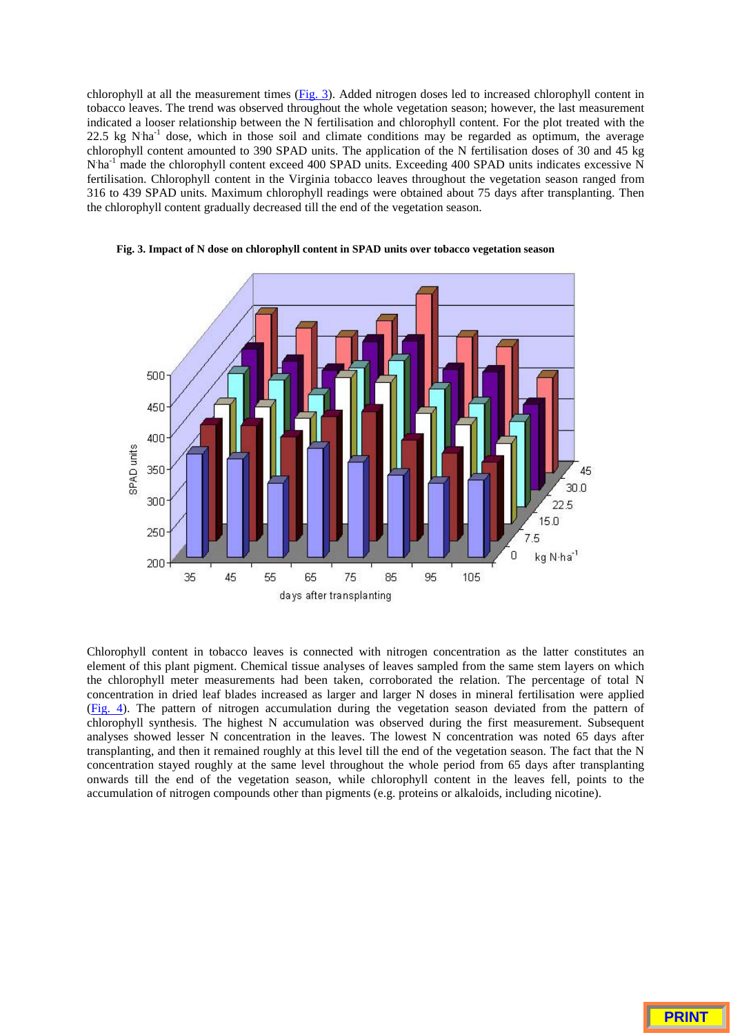chlorophyll at all the measurement times (Fig. 3). Added nitrogen doses led to increased chlorophyll content in tobacco leaves. The trend was observed throughout the whole vegetation season; however, the last measurement indicated a looser relationship between the N fertilisation and chlorophyll content. For the plot treated with the 22.5 kg N<sup>ha-1</sup> dose, which in those soil and climate conditions may be regarded as optimum, the average chlorophyll content amounted to 390 SPAD units. The application of the N fertilisation doses of 30 and 45 kg N<sup>ha-1</sup> made the chlorophyll content exceed 400 SPAD units. Exceeding 400 SPAD units indicates excessive N fertilisation. Chlorophyll content in the Virginia tobacco leaves throughout the vegetation season ranged from 316 to 439 SPAD units. Maximum chlorophyll readings were obtained about 75 days after transplanting. Then the chlorophyll content gradually decreased till the end of the vegetation season.



**Fig. 3. Impact of N dose on chlorophyll content in SPAD units over tobacco vegetation season**

Chlorophyll content in tobacco leaves is connected with nitrogen concentration as the latter constitutes an element of this plant pigment. Chemical tissue analyses of leaves sampled from the same stem layers on which the chlorophyll meter measurements had been taken, corroborated the relation. The percentage of total N concentration in dried leaf blades increased as larger and larger N doses in mineral fertilisation were applied (Fig. 4). The pattern of nitrogen accumulation during the vegetation season deviated from the pattern of chlorophyll synthesis. The highest N accumulation was observed during the first measurement. Subsequent analyses showed lesser N concentration in the leaves. The lowest N concentration was noted 65 days after transplanting, and then it remained roughly at this level till the end of the vegetation season. The fact that the N concentration stayed roughly at the same level throughout the whole period from 65 days after transplanting onwards till the end of the vegetation season, while chlorophyll content in the leaves fell, points to the accumulation of nitrogen compounds other than pigments (e.g. proteins or alkaloids, including nicotine).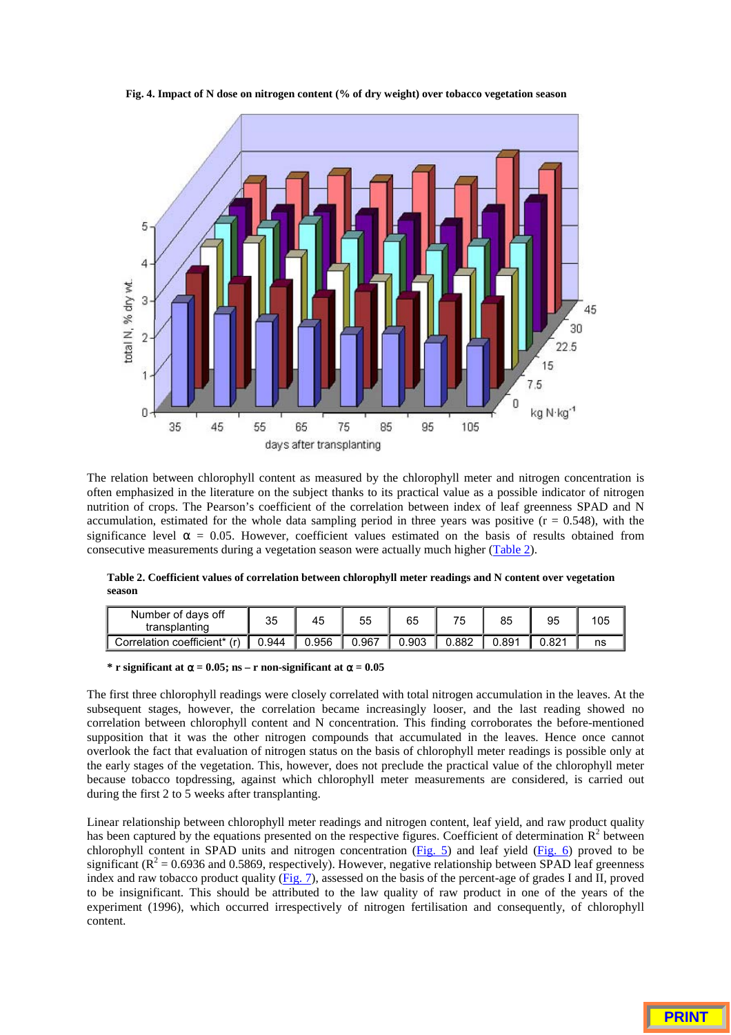

**Fig. 4. Impact of N dose on nitrogen content (% of dry weight) over tobacco vegetation season**

The relation between chlorophyll content as measured by the chlorophyll meter and nitrogen concentration is often emphasized in the literature on the subject thanks to its practical value as a possible indicator of nitrogen nutrition of crops. The Pearson's coefficient of the correlation between index of leaf greenness SPAD and N accumulation, estimated for the whole data sampling period in three years was positive  $(r = 0.548)$ , with the significance level  $\alpha = 0.05$ . However, coefficient values estimated on the basis of results obtained from consecutive measurements during a vegetation season were actually much higher (Table 2).

**Table 2. Coefficient values of correlation between chlorophyll meter readings and N content over vegetation season**

| Number of days off<br>transplanting | 35    | 45    | 55    | 65    | 75    | 85    | 95    | 105 |
|-------------------------------------|-------|-------|-------|-------|-------|-------|-------|-----|
| Correlation coefficient* (r)        | 0.944 | 0.956 | 0.967 | 0.903 | 0.882 | 0.891 | 0.821 | ns  |

#### **\* r** significant at  $\alpha = 0.05$ ; ns – **r** non-significant at  $\alpha = 0.05$

The first three chlorophyll readings were closely correlated with total nitrogen accumulation in the leaves. At the subsequent stages, however, the correlation became increasingly looser, and the last reading showed no correlation between chlorophyll content and N concentration. This finding corroborates the before-mentioned supposition that it was the other nitrogen compounds that accumulated in the leaves. Hence once cannot overlook the fact that evaluation of nitrogen status on the basis of chlorophyll meter readings is possible only at the early stages of the vegetation. This, however, does not preclude the practical value of the chlorophyll meter because tobacco topdressing, against which chlorophyll meter measurements are considered, is carried out during the first 2 to 5 weeks after transplanting.

Linear relationship between chlorophyll meter readings and nitrogen content, leaf yield, and raw product quality has been captured by the equations presented on the respective figures. Coefficient of determination  $\mathbb{R}^2$  between chlorophyll content in SPAD units and nitrogen concentration (Fig. 5) and leaf yield (Fig. 6) proved to be significant ( $R^2$  = 0.6936 and 0.5869, respectively). However, negative relationship between SPAD leaf greenness index and raw tobacco product quality (Fig. 7), assessed on the basis of the percent-age of grades I and II, proved to be insignificant. This should be attributed to the law quality of raw product in one of the years of the experiment (1996), which occurred irrespectively of nitrogen fertilisation and consequently, of chlorophyll content.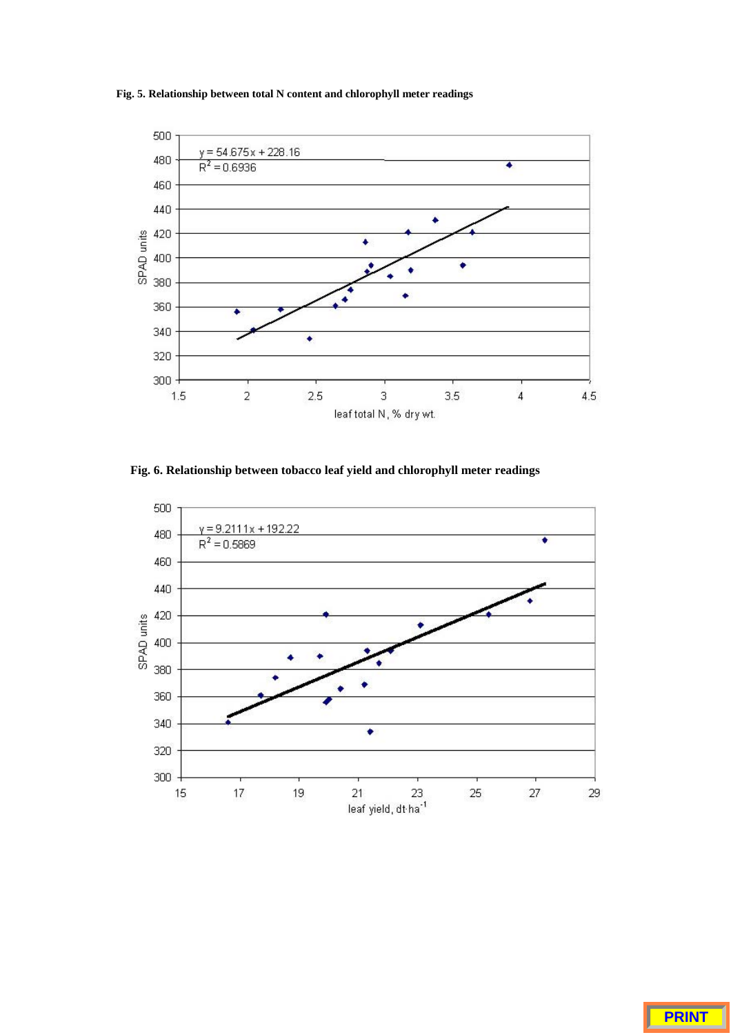**Fig. 5. Relationship between total N content and chlorophyll meter readings**



**Fig. 6. Relationship between tobacco leaf yield and chlorophyll meter readings**

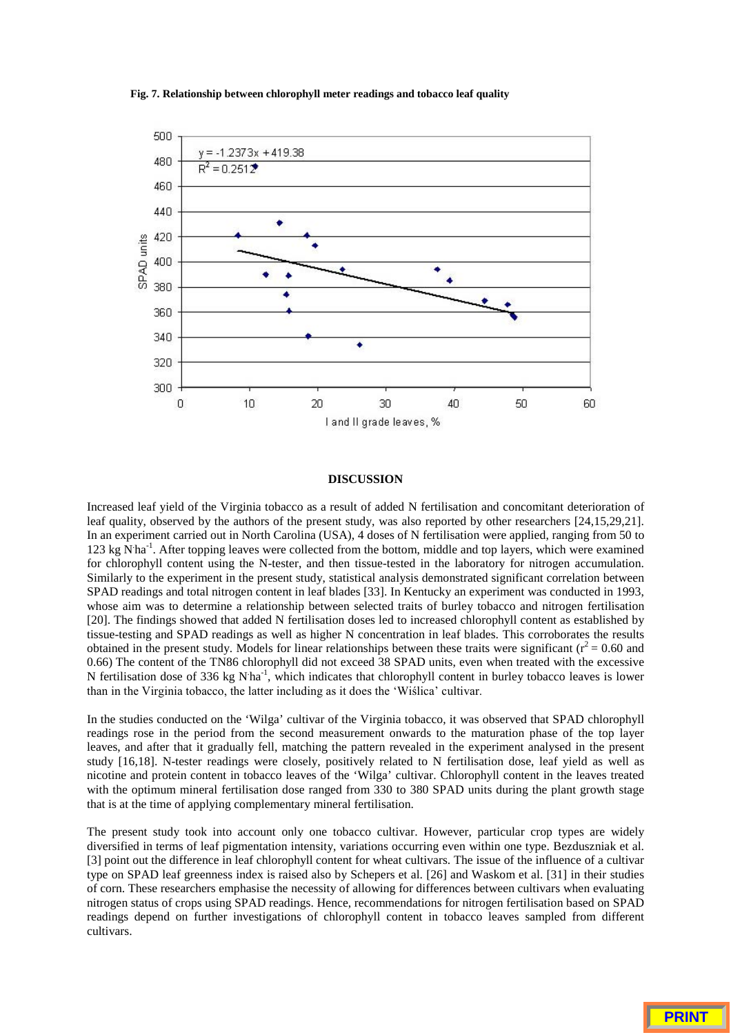



#### **DISCUSSION**

Increased leaf yield of the Virginia tobacco as a result of added N fertilisation and concomitant deterioration of leaf quality, observed by the authors of the present study, was also reported by other researchers [24,15,29,21]. In an experiment carried out in North Carolina (USA), 4 doses of N fertilisation were applied, ranging from 50 to 123 kg N<sup>ha-1</sup>. After topping leaves were collected from the bottom, middle and top layers, which were examined for chlorophyll content using the N-tester, and then tissue-tested in the laboratory for nitrogen accumulation. Similarly to the experiment in the present study, statistical analysis demonstrated significant correlation between SPAD readings and total nitrogen content in leaf blades [33]. In Kentucky an experiment was conducted in 1993, whose aim was to determine a relationship between selected traits of burley tobacco and nitrogen fertilisation [20]. The findings showed that added N fertilisation doses led to increased chlorophyll content as established by tissue-testing and SPAD readings as well as higher N concentration in leaf blades. This corroborates the results obtained in the present study. Models for linear relationships between these traits were significant ( $r^2$  = 0.60 and 0.66) The content of the TN86 chlorophyll did not exceed 38 SPAD units, even when treated with the excessive N fertilisation dose of 336 kg N<sup>ha-1</sup>, which indicates that chlorophyll content in burley tobacco leaves is lower than in the Virginia tobacco, the latter including as it does the 'Wiślica' cultivar.

In the studies conducted on the 'Wilga' cultivar of the Virginia tobacco, it was observed that SPAD chlorophyll readings rose in the period from the second measurement onwards to the maturation phase of the top layer leaves, and after that it gradually fell, matching the pattern revealed in the experiment analysed in the present study [16,18]. N-tester readings were closely, positively related to N fertilisation dose, leaf yield as well as nicotine and protein content in tobacco leaves of the 'Wilga' cultivar. Chlorophyll content in the leaves treated with the optimum mineral fertilisation dose ranged from 330 to 380 SPAD units during the plant growth stage that is at the time of applying complementary mineral fertilisation.

The present study took into account only one tobacco cultivar. However, particular crop types are widely diversified in terms of leaf pigmentation intensity, variations occurring even within one type. Bezduszniak et al. [3] point out the difference in leaf chlorophyll content for wheat cultivars. The issue of the influence of a cultivar type on SPAD leaf greenness index is raised also by Schepers et al. [26] and Waskom et al. [31] in their studies of corn. These researchers emphasise the necessity of allowing for differences between cultivars when evaluating nitrogen status of crops using SPAD readings. Hence, recommendations for nitrogen fertilisation based on SPAD readings depend on further investigations of chlorophyll content in tobacco leaves sampled from different cultivars.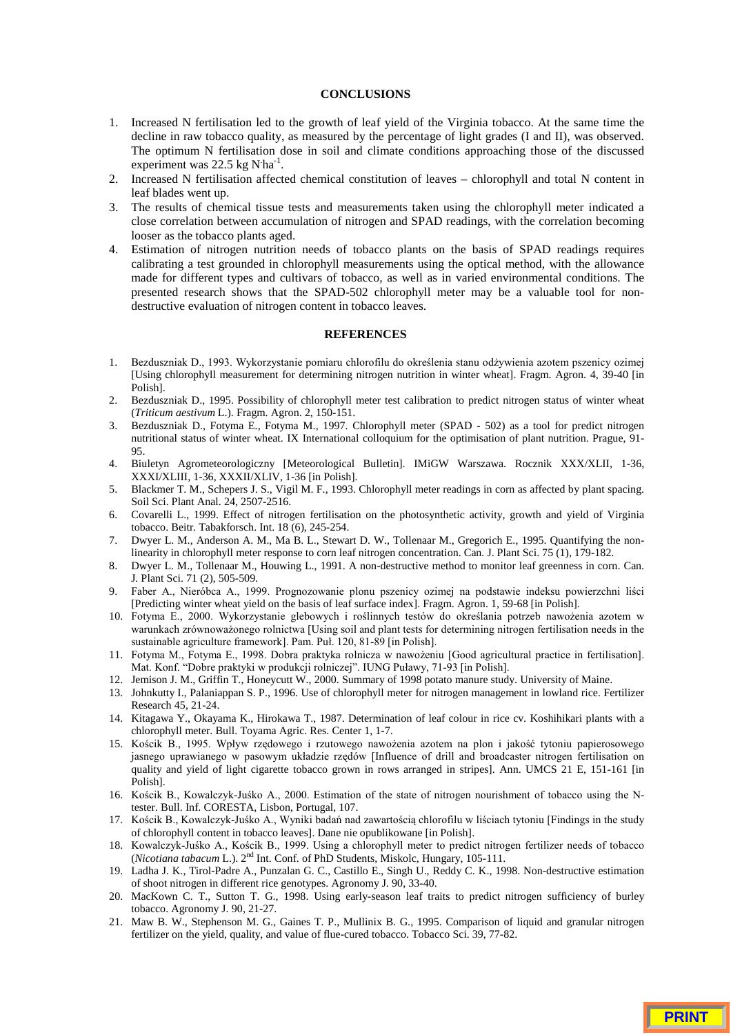## **CONCLUSIONS**

- 1. Increased N fertilisation led to the growth of leaf yield of the Virginia tobacco. At the same time the decline in raw tobacco quality, as measured by the percentage of light grades (I and II), was observed. The optimum N fertilisation dose in soil and climate conditions approaching those of the discussed experiment was 22.5 kg  $N'$ ha<sup>-1</sup>.
- 2. Increased N fertilisation affected chemical constitution of leaves chlorophyll and total N content in leaf blades went up.
- 3. The results of chemical tissue tests and measurements taken using the chlorophyll meter indicated a close correlation between accumulation of nitrogen and SPAD readings, with the correlation becoming looser as the tobacco plants aged.
- 4. Estimation of nitrogen nutrition needs of tobacco plants on the basis of SPAD readings requires calibrating a test grounded in chlorophyll measurements using the optical method, with the allowance made for different types and cultivars of tobacco, as well as in varied environmental conditions. The presented research shows that the SPAD-502 chlorophyll meter may be a valuable tool for nondestructive evaluation of nitrogen content in tobacco leaves.

## **REFERENCES**

- 1. Bezduszniak D., 1993. Wykorzystanie pomiaru chlorofilu do określenia stanu odżywienia azotem pszenicy ozimej [Using chlorophyll measurement for determining nitrogen nutrition in winter wheat]. Fragm. Agron. 4, 39-40 [in Polish].
- 2. Bezduszniak D., 1995. Possibility of chlorophyll meter test calibration to predict nitrogen status of winter wheat (*Triticum aestivum* L.). Fragm. Agron. 2, 150-151.
- 3. Bezduszniak D., Fotyma E., Fotyma M., 1997. Chlorophyll meter (SPAD 502) as a tool for predict nitrogen nutritional status of winter wheat. IX International colloquium for the optimisation of plant nutrition. Prague, 91- 95.
- 4. Biuletyn Agrometeorologiczny [Meteorological Bulletin]. IMiGW Warszawa. Rocznik XXX/XLII, 1-36, XXXI/XLIII, 1-36, XXXII/XLIV, 1-36 [in Polish].
- 5. Blackmer T. M., Schepers J. S., Vigil M. F., 1993. Chlorophyll meter readings in corn as affected by plant spacing. Soil Sci. Plant Anal. 24, 2507-2516.
- 6. Covarelli L., 1999. Effect of nitrogen fertilisation on the photosynthetic activity, growth and yield of Virginia tobacco. Beitr. Tabakforsch. Int. 18 (6), 245-254.
- 7. Dwyer L. M., Anderson A. M., Ma B. L., Stewart D. W., Tollenaar M., Gregorich E., 1995. Quantifying the nonlinearity in chlorophyll meter response to corn leaf nitrogen concentration. Can. J. Plant Sci. 75 (1), 179-182.
- 8. Dwyer L. M., Tollenaar M., Houwing L., 1991. A non-destructive method to monitor leaf greenness in corn. Can. J. Plant Sci. 71 (2), 505-509.
- 9. Faber A., Nieróbca A., 1999. Prognozowanie plonu pszenicy ozimej na podstawie indeksu powierzchni liści [Predicting winter wheat yield on the basis of leaf surface index]. Fragm. Agron. 1, 59-68 [in Polish].
- 10. Fotyma E., 2000. Wykorzystanie glebowych i roślinnych testów do określania potrzeb nawożenia azotem w warunkach zrównoważonego rolnictwa [Using soil and plant tests for determining nitrogen fertilisation needs in the sustainable agriculture framework]. Pam. Puł. 120, 81-89 [in Polish].
- 11. Fotyma M., Fotyma E., 1998. Dobra praktyka rolnicza w nawożeniu [Good agricultural practice in fertilisation]. Mat. Konf. "Dobre praktyki w produkcji rolniczej". IUNG Puławy, 71-93 [in Polish].
- 12. Jemison J. M., Griffin T., Honeycutt W., 2000. Summary of 1998 potato manure study. University of Maine.
- 13. Johnkutty I., Palaniappan S. P., 1996. Use of chlorophyll meter for nitrogen management in lowland rice. Fertilizer Research 45, 21-24.
- 14. Kitagawa Y., Okayama K., Hirokawa T., 1987. Determination of leaf colour in rice cv. Koshihikari plants with a chlorophyll meter. Bull. Toyama Agric. Res. Center 1, 1-7.
- 15. Kościk B., 1995. Wpływ rzędowego i rzutowego nawożenia azotem na plon i jakość tytoniu papierosowego jasnego uprawianego w pasowym układzie rzędów [Influence of drill and broadcaster nitrogen fertilisation on quality and yield of light cigarette tobacco grown in rows arranged in stripes]. Ann. UMCS 21 E, 151-161 [in Polish].
- 16. Kościk B., Kowalczyk-Juśko A., 2000. Estimation of the state of nitrogen nourishment of tobacco using the Ntester. Bull. Inf. CORESTA, Lisbon, Portugal, 107.
- 17. Kościk B., Kowalczyk-Juśko A., Wyniki badań nad zawartością chlorofilu w liściach tytoniu [Findings in the study of chlorophyll content in tobacco leaves]. Dane nie opublikowane [in Polish].
- 18. Kowalczyk-Juśko A., Kościk B., 1999. Using a chlorophyll meter to predict nitrogen fertilizer needs of tobacco (*Nicotiana tabacum* L.). 2nd Int. Conf. of PhD Students, Miskolc, Hungary, 105-111.
- 19. Ladha J. K., Tirol-Padre A., Punzalan G. C., Castillo E., Singh U., Reddy C. K., 1998. Non-destructive estimation of shoot nitrogen in different rice genotypes. Agronomy J. 90, 33-40.
- 20. MacKown C. T., Sutton T. G., 1998. Using early-season leaf traits to predict nitrogen sufficiency of burley tobacco. Agronomy J. 90, 21-27.
- 21. Maw B. W., Stephenson M. G., Gaines T. P., Mullinix B. G., 1995. Comparison of liquid and granular nitrogen fertilizer on the yield, quality, and value of flue-cured tobacco. Tobacco Sci. 39, 77-82.